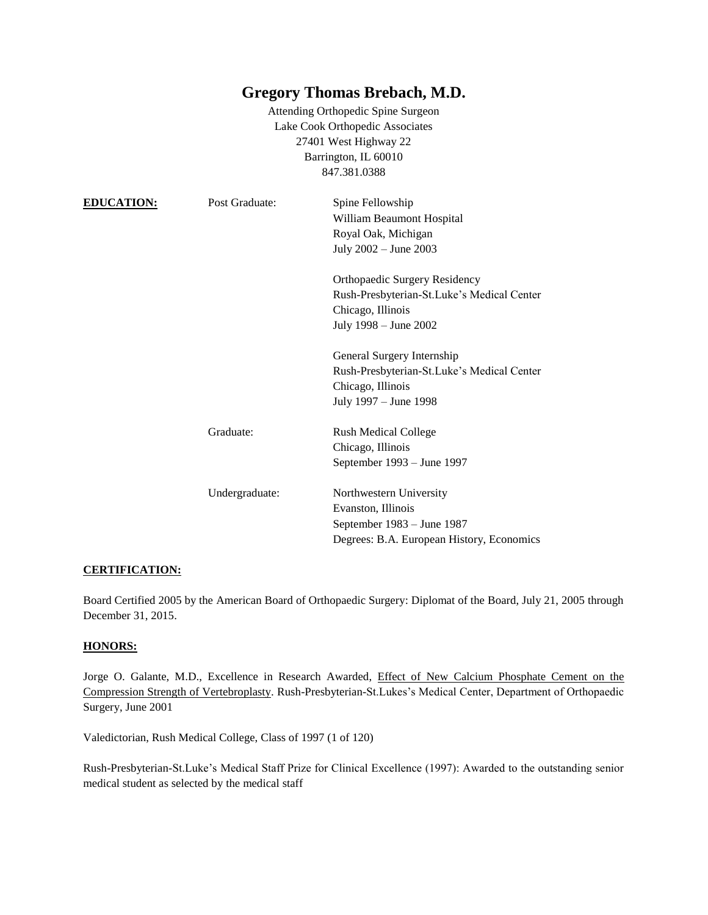# **Gregory Thomas Brebach, M.D.**

Attending Orthopedic Spine Surgeon Lake Cook Orthopedic Associates 27401 West Highway 22 Barrington, IL 60010 847.381.0388

| <b>EDUCATION:</b> | Post Graduate: | Spine Fellowship<br>William Beaumont Hospital<br>Royal Oak, Michigan<br>July 2002 - June 2003                             |
|-------------------|----------------|---------------------------------------------------------------------------------------------------------------------------|
|                   |                | Orthopaedic Surgery Residency<br>Rush-Presbyterian-St.Luke's Medical Center<br>Chicago, Illinois<br>July 1998 - June 2002 |
|                   |                | General Surgery Internship<br>Rush-Presbyterian-St.Luke's Medical Center<br>Chicago, Illinois<br>July 1997 – June 1998    |
|                   | Graduate:      | <b>Rush Medical College</b><br>Chicago, Illinois<br>September 1993 – June 1997                                            |
|                   | Undergraduate: | Northwestern University<br>Evanston, Illinois<br>September 1983 – June 1987<br>Degrees: B.A. European History, Economics  |

# **CERTIFICATION:**

Board Certified 2005 by the American Board of Orthopaedic Surgery: Diplomat of the Board, July 21, 2005 through December 31, 2015.

#### **HONORS:**

Jorge O. Galante, M.D., Excellence in Research Awarded, Effect of New Calcium Phosphate Cement on the Compression Strength of Vertebroplasty. Rush-Presbyterian-St.Lukes's Medical Center, Department of Orthopaedic Surgery, June 2001

Valedictorian, Rush Medical College, Class of 1997 (1 of 120)

Rush-Presbyterian-St.Luke's Medical Staff Prize for Clinical Excellence (1997): Awarded to the outstanding senior medical student as selected by the medical staff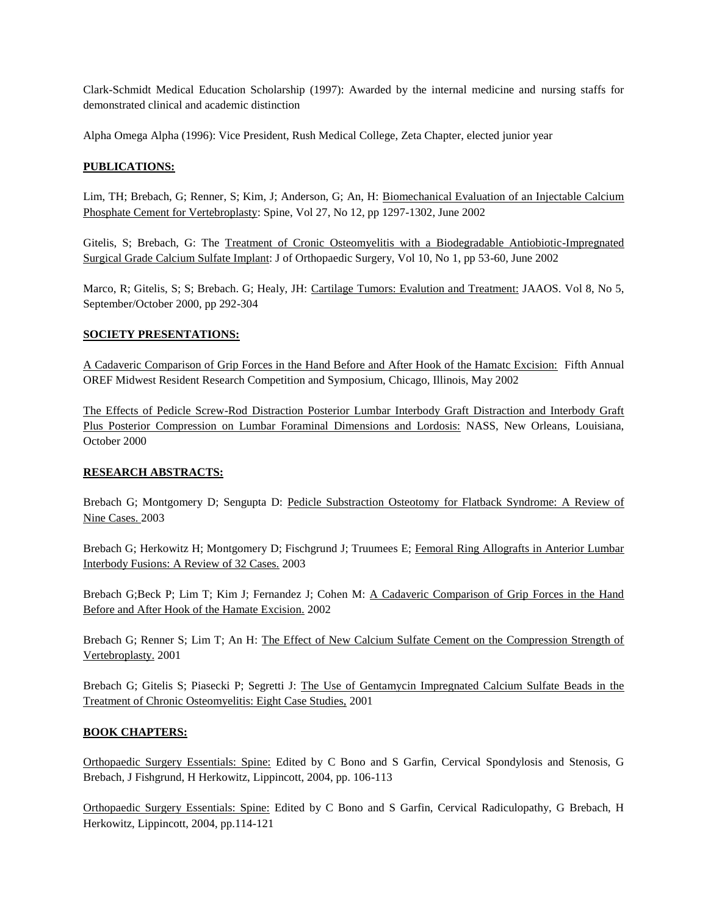Clark-Schmidt Medical Education Scholarship (1997): Awarded by the internal medicine and nursing staffs for demonstrated clinical and academic distinction

Alpha Omega Alpha (1996): Vice President, Rush Medical College, Zeta Chapter, elected junior year

## **PUBLICATIONS:**

Lim, TH; Brebach, G; Renner, S; Kim, J; Anderson, G; An, H: Biomechanical Evaluation of an Injectable Calcium Phosphate Cement for Vertebroplasty: Spine, Vol 27, No 12, pp 1297-1302, June 2002

Gitelis, S; Brebach, G: The Treatment of Cronic Osteomyelitis with a Biodegradable Antiobiotic-Impregnated Surgical Grade Calcium Sulfate Implant: J of Orthopaedic Surgery, Vol 10, No 1, pp 53-60, June 2002

Marco, R; Gitelis, S; S; Brebach. G; Healy, JH: Cartilage Tumors: Evalution and Treatment: JAAOS. Vol 8, No 5, September/October 2000, pp 292-304

## **SOCIETY PRESENTATIONS:**

A Cadaveric Comparison of Grip Forces in the Hand Before and After Hook of the Hamatc Excision: Fifth Annual OREF Midwest Resident Research Competition and Symposium, Chicago, Illinois, May 2002

The Effects of Pedicle Screw-Rod Distraction Posterior Lumbar Interbody Graft Distraction and Interbody Graft Plus Posterior Compression on Lumbar Foraminal Dimensions and Lordosis: NASS, New Orleans, Louisiana, October 2000

#### **RESEARCH ABSTRACTS:**

Brebach G; Montgomery D; Sengupta D: Pedicle Substraction Osteotomy for Flatback Syndrome: A Review of Nine Cases. 2003

Brebach G; Herkowitz H; Montgomery D; Fischgrund J; Truumees E; Femoral Ring Allografts in Anterior Lumbar Interbody Fusions: A Review of 32 Cases. 2003

Brebach G;Beck P; Lim T; Kim J; Fernandez J; Cohen M: A Cadaveric Comparison of Grip Forces in the Hand Before and After Hook of the Hamate Excision. 2002

Brebach G; Renner S; Lim T; An H: The Effect of New Calcium Sulfate Cement on the Compression Strength of Vertebroplasty. 2001

Brebach G; Gitelis S; Piasecki P; Segretti J: The Use of Gentamycin Impregnated Calcium Sulfate Beads in the Treatment of Chronic Osteomyelitis: Eight Case Studies, 2001

#### **BOOK CHAPTERS:**

Orthopaedic Surgery Essentials: Spine: Edited by C Bono and S Garfin, Cervical Spondylosis and Stenosis, G Brebach, J Fishgrund, H Herkowitz, Lippincott, 2004, pp. 106-113

Orthopaedic Surgery Essentials: Spine: Edited by C Bono and S Garfin, Cervical Radiculopathy, G Brebach, H Herkowitz, Lippincott, 2004, pp.114-121